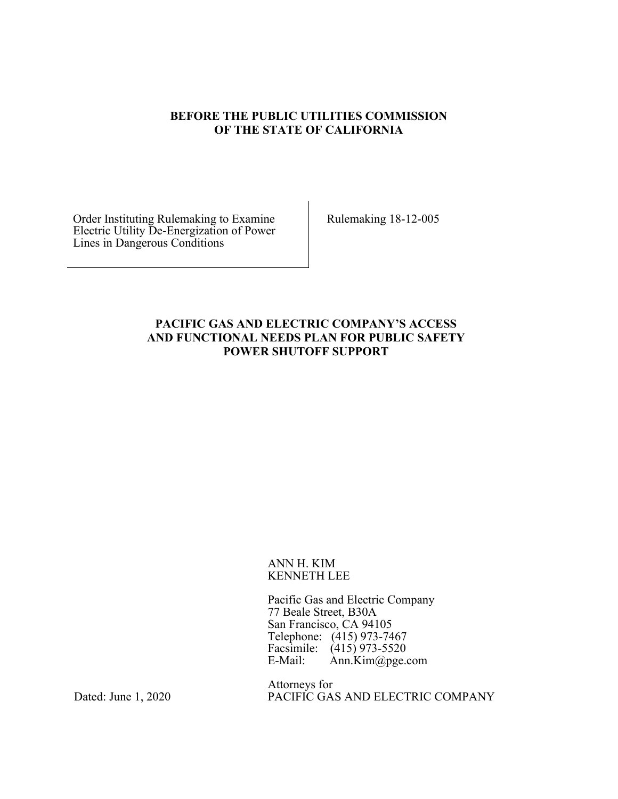#### **BEFORE THE PUBLIC UTILITIES COMMISSION OF THE STATE OF CALIFORNIA**

Order Instituting Rulemaking to Examine Electric Utility De-Energization of Power Lines in Dangerous Conditions

Rulemaking 18-12-005

### **PACIFIC GAS AND ELECTRIC COMPANY'S ACCESS AND FUNCTIONAL NEEDS PLAN FOR PUBLIC SAFETY POWER SHUTOFF SUPPORT**

#### ANN H. KIM KENNETH LEE

Pacific Gas and Electric Company 77 Beale Street, B30A San Francisco, CA 94105 Telephone: (415) 973-7467 Facsimile: (415) 973-5520<br>E-Mail: Ann.Kim@pge.  $Ann.Kim@pge.com$ 

Attorneys for PACIFIC GAS AND ELECTRIC COMPANY

Dated: June 1, 2020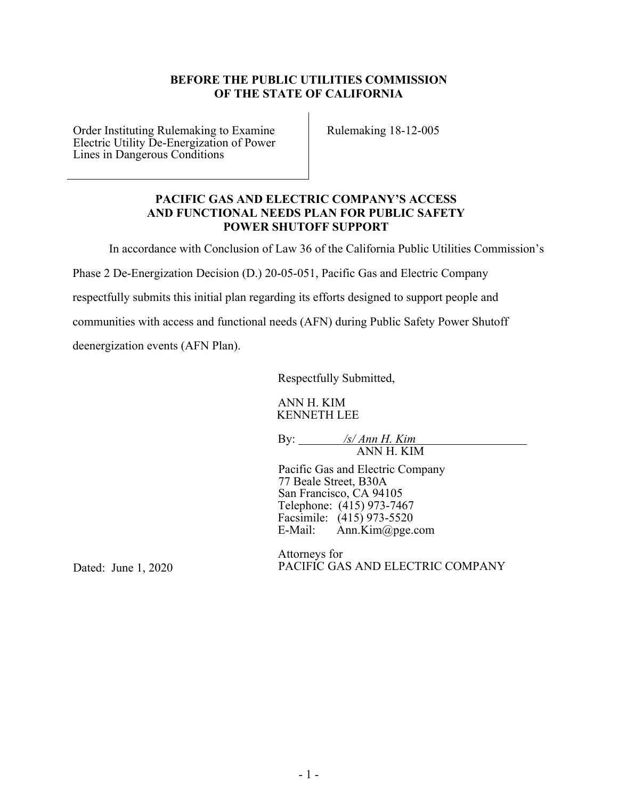### **BEFORE THE PUBLIC UTILITIES COMMISSION OF THE STATE OF CALIFORNIA**

Order Instituting Rulemaking to Examine Electric Utility De-Energization of Power Lines in Dangerous Conditions

Rulemaking 18-12-005

#### **PACIFIC GAS AND ELECTRIC COMPANY'S ACCESS AND FUNCTIONAL NEEDS PLAN FOR PUBLIC SAFETY POWER SHUTOFF SUPPORT**

In accordance with Conclusion of Law 36 of the California Public Utilities Commission's

Phase 2 De‐Energization Decision (D.) 20‐05‐051, Pacific Gas and Electric Company

respectfully submits this initial plan regarding its efforts designed to support people and

communities with access and functional needs (AFN) during Public Safety Power Shutoff

deenergization events (AFN Plan).

Respectfully Submitted,

ANN H. KIM KENNETH LEE

By: */s/ Ann H. Kim*  ANN H. KIM

Pacific Gas and Electric Company 77 Beale Street, B30A San Francisco, CA 94105 Telephone: (415) 973-7467 Facsimile:  $(415)$  973-5520<br>E-Mail: Ann.Kim@pge.  $Ann.Kim@pge.com$ 

Dated: June 1, 2020

Attorneys for PACIFIC GAS AND ELECTRIC COMPANY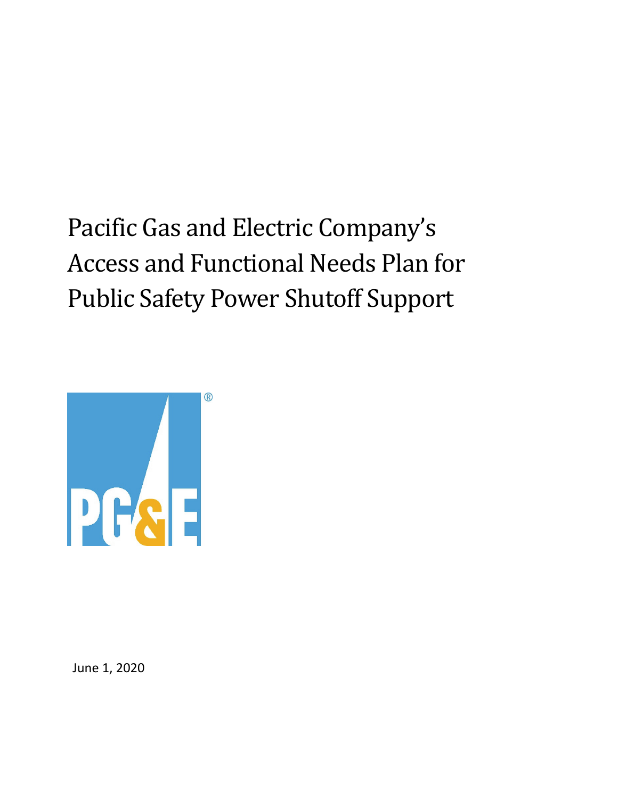# Pacific Gas and Electric Company's Access and Functional Needs Plan for Public Safety Power Shutoff Support



June 1, 2020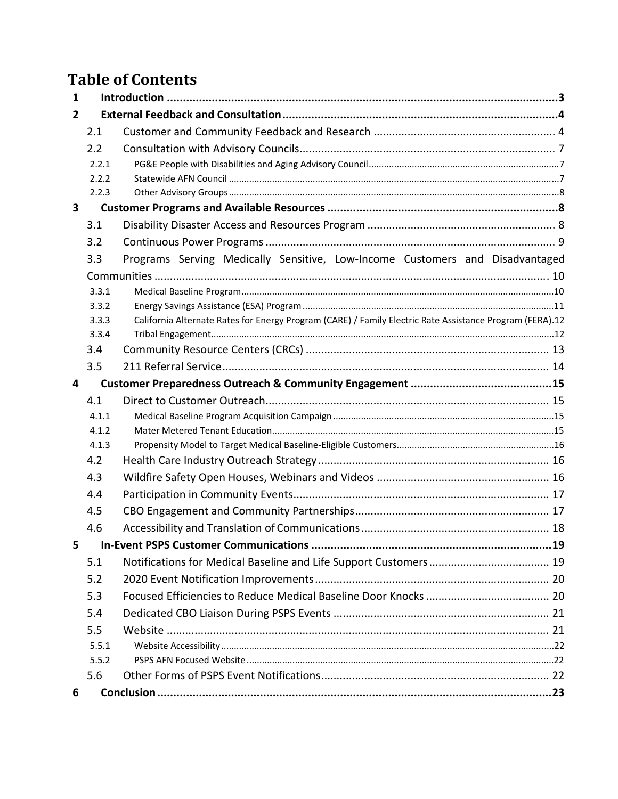# **Table of Contents**

| 1                       |                |                                                                                                          |  |
|-------------------------|----------------|----------------------------------------------------------------------------------------------------------|--|
| $\overline{2}$          |                |                                                                                                          |  |
|                         | 2.1            |                                                                                                          |  |
|                         | 2.2            |                                                                                                          |  |
|                         | 2.2.1          |                                                                                                          |  |
|                         | 2.2.2          |                                                                                                          |  |
|                         | 2.2.3          |                                                                                                          |  |
| $\overline{\mathbf{3}}$ |                |                                                                                                          |  |
|                         | 3.1            |                                                                                                          |  |
|                         | 3.2            |                                                                                                          |  |
|                         | 3.3            | Programs Serving Medically Sensitive, Low-Income Customers and Disadvantaged                             |  |
|                         |                |                                                                                                          |  |
|                         | 3.3.1          |                                                                                                          |  |
|                         | 3.3.2          |                                                                                                          |  |
|                         | 3.3.3<br>3.3.4 | California Alternate Rates for Energy Program (CARE) / Family Electric Rate Assistance Program (FERA).12 |  |
|                         | 3.4            |                                                                                                          |  |
|                         | 3.5            |                                                                                                          |  |
| 4                       |                |                                                                                                          |  |
|                         | 4.1            |                                                                                                          |  |
|                         | 4.1.1          |                                                                                                          |  |
|                         | 4.1.2          |                                                                                                          |  |
|                         | 4.1.3          |                                                                                                          |  |
|                         | 4.2            |                                                                                                          |  |
|                         | 4.3            |                                                                                                          |  |
|                         | 4.4            |                                                                                                          |  |
|                         | 4.5            |                                                                                                          |  |
|                         | 4.6            |                                                                                                          |  |
| 5                       |                |                                                                                                          |  |
|                         | 5.1            |                                                                                                          |  |
|                         | 5.2            |                                                                                                          |  |
|                         | 5.3            |                                                                                                          |  |
|                         | 5.4            |                                                                                                          |  |
|                         | 5.5            |                                                                                                          |  |
|                         | 5.5.1          |                                                                                                          |  |
|                         | 5.5.2          |                                                                                                          |  |
|                         | 5.6            |                                                                                                          |  |
| 6                       |                |                                                                                                          |  |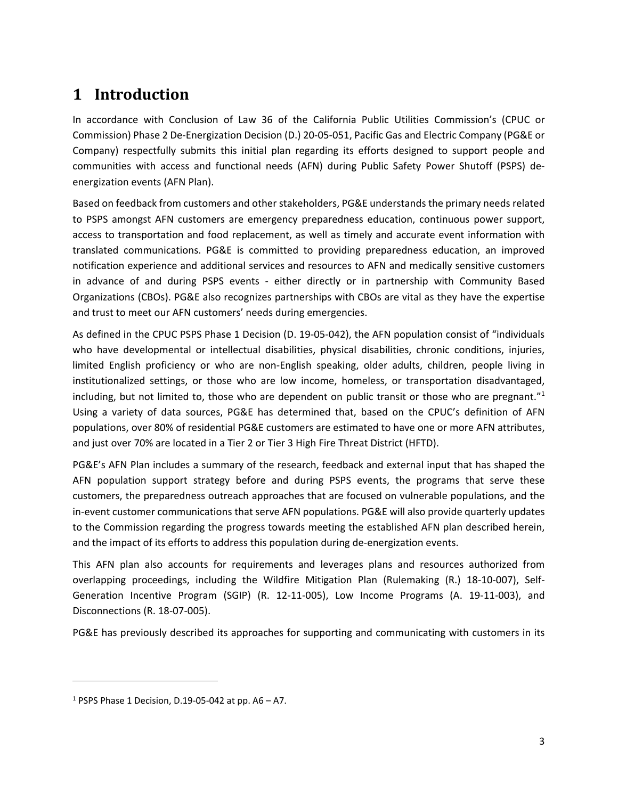# **1 Introduction**

In accordance with Conclusion of Law 36 of the California Public Utilities Commission's (CPUC or Commission) Phase 2 De‐Energization Decision (D.) 20‐05‐051, Pacific Gas and Electric Company (PG&E or Company) respectfully submits this initial plan regarding its efforts designed to support people and communities with access and functional needs (AFN) during Public Safety Power Shutoff (PSPS) de‐ energization events (AFN Plan).

Based on feedback from customers and other stakeholders, PG&E understands the primary needs related to PSPS amongst AFN customers are emergency preparedness education, continuous power support, access to transportation and food replacement, as well as timely and accurate event information with translated communications. PG&E is committed to providing preparedness education, an improved notification experience and additional services and resources to AFN and medically sensitive customers in advance of and during PSPS events - either directly or in partnership with Community Based Organizations (CBOs). PG&E also recognizes partnerships with CBOs are vital as they have the expertise and trust to meet our AFN customers' needs during emergencies.

As defined in the CPUC PSPS Phase 1 Decision (D. 19‐05‐042), the AFN population consist of "individuals who have developmental or intellectual disabilities, physical disabilities, chronic conditions, injuries, limited English proficiency or who are non-English speaking, older adults, children, people living in institutionalized settings, or those who are low income, homeless, or transportation disadvantaged, including, but not limited to, those who are dependent on public transit or those who are pregnant."<sup>1</sup> Using a variety of data sources, PG&E has determined that, based on the CPUC's definition of AFN populations, over 80% of residential PG&E customers are estimated to have one or more AFN attributes, and just over 70% are located in a Tier 2 or Tier 3 High Fire Threat District (HFTD).

PG&E's AFN Plan includes a summary of the research, feedback and external input that has shaped the AFN population support strategy before and during PSPS events, the programs that serve these customers, the preparedness outreach approaches that are focused on vulnerable populations, and the in-event customer communications that serve AFN populations. PG&E will also provide quarterly updates to the Commission regarding the progress towards meeting the established AFN plan described herein, and the impact of its efforts to address this population during de‐energization events.

This AFN plan also accounts for requirements and leverages plans and resources authorized from overlapping proceedings, including the Wildfire Mitigation Plan (Rulemaking (R.) 18‐10‐007), Self‐ Generation Incentive Program (SGIP) (R. 12‐11‐005), Low Income Programs (A. 19‐11‐003), and Disconnections (R. 18‐07‐005).

PG&E has previously described its approaches for supporting and communicating with customers in its

<sup>&</sup>lt;sup>1</sup> PSPS Phase 1 Decision, D.19-05-042 at pp. A6 – A7.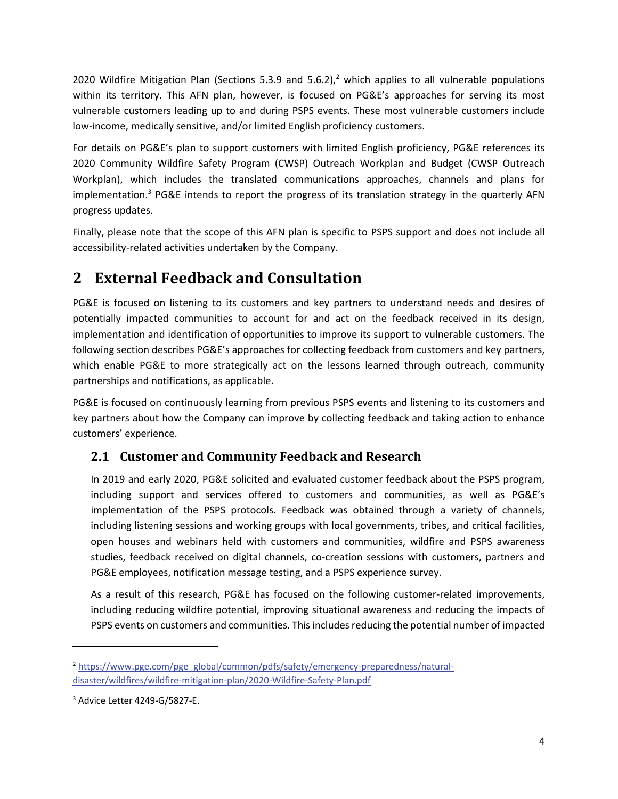2020 Wildfire Mitigation Plan (Sections 5.3.9 and 5.6.2),<sup>2</sup> which applies to all vulnerable populations within its territory. This AFN plan, however, is focused on PG&E's approaches for serving its most vulnerable customers leading up to and during PSPS events. These most vulnerable customers include low-income, medically sensitive, and/or limited English proficiency customers.

For details on PG&E's plan to support customers with limited English proficiency, PG&E references its 2020 Community Wildfire Safety Program (CWSP) Outreach Workplan and Budget (CWSP Outreach Workplan), which includes the translated communications approaches, channels and plans for implementation.<sup>3</sup> PG&E intends to report the progress of its translation strategy in the quarterly AFN progress updates.

Finally, please note that the scope of this AFN plan is specific to PSPS support and does not include all accessibility‐related activities undertaken by the Company.

# **2 External Feedback and Consultation**

PG&E is focused on listening to its customers and key partners to understand needs and desires of potentially impacted communities to account for and act on the feedback received in its design, implementation and identification of opportunities to improve its support to vulnerable customers. The following section describes PG&E's approaches for collecting feedback from customers and key partners, which enable PG&E to more strategically act on the lessons learned through outreach, community partnerships and notifications, as applicable.

PG&E is focused on continuously learning from previous PSPS events and listening to its customers and key partners about how the Company can improve by collecting feedback and taking action to enhance customers' experience.

# **2.1 Customer and Community Feedback and Research**

In 2019 and early 2020, PG&E solicited and evaluated customer feedback about the PSPS program, including support and services offered to customers and communities, as well as PG&E's implementation of the PSPS protocols. Feedback was obtained through a variety of channels, including listening sessions and working groups with local governments, tribes, and critical facilities, open houses and webinars held with customers and communities, wildfire and PSPS awareness studies, feedback received on digital channels, co-creation sessions with customers, partners and PG&E employees, notification message testing, and a PSPS experience survey.

As a result of this research, PG&E has focused on the following customer‐related improvements, including reducing wildfire potential, improving situational awareness and reducing the impacts of PSPS events on customers and communities. This includes reducing the potential number of impacted

<sup>&</sup>lt;sup>2</sup> https://www.pge.com/pge\_global/common/pdfs/safety/emergency-preparedness/naturaldisaster/wildfires/wildfire‐mitigation‐plan/2020‐Wildfire‐Safety‐Plan.pdf

<sup>3</sup> Advice Letter 4249‐G/5827‐E.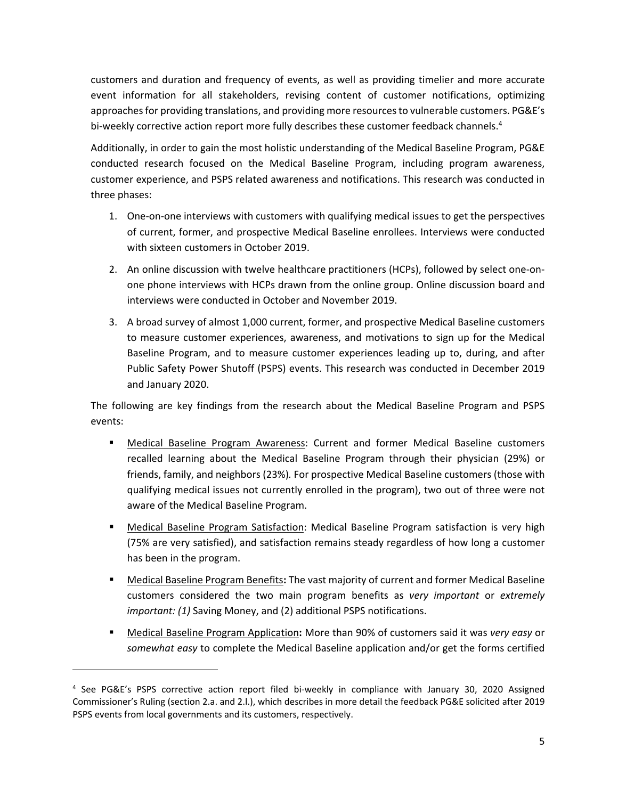customers and duration and frequency of events, as well as providing timelier and more accurate event information for all stakeholders, revising content of customer notifications, optimizing approaches for providing translations, and providing more resources to vulnerable customers. PG&E's bi-weekly corrective action report more fully describes these customer feedback channels.<sup>4</sup>

Additionally, in order to gain the most holistic understanding of the Medical Baseline Program, PG&E conducted research focused on the Medical Baseline Program, including program awareness, customer experience, and PSPS related awareness and notifications. This research was conducted in three phases:

- 1. One‐on‐one interviews with customers with qualifying medical issues to get the perspectives of current, former, and prospective Medical Baseline enrollees. Interviews were conducted with sixteen customers in October 2019.
- 2. An online discussion with twelve healthcare practitioners (HCPs), followed by select one‐on‐ one phone interviews with HCPs drawn from the online group. Online discussion board and interviews were conducted in October and November 2019.
- 3. A broad survey of almost 1,000 current, former, and prospective Medical Baseline customers to measure customer experiences, awareness, and motivations to sign up for the Medical Baseline Program, and to measure customer experiences leading up to, during, and after Public Safety Power Shutoff (PSPS) events. This research was conducted in December 2019 and January 2020.

The following are key findings from the research about the Medical Baseline Program and PSPS events:

- Medical Baseline Program Awareness: Current and former Medical Baseline customers recalled learning about the Medical Baseline Program through their physician (29%) or friends, family, and neighbors (23%)*.* For prospective Medical Baseline customers (those with qualifying medical issues not currently enrolled in the program), two out of three were not aware of the Medical Baseline Program.
- Medical Baseline Program Satisfaction: Medical Baseline Program satisfaction is very high (75% are very satisfied), and satisfaction remains steady regardless of how long a customer has been in the program.
- Medical Baseline Program Benefits**:** The vast majority of current and former Medical Baseline customers considered the two main program benefits as *very important* or *extremely important: (1)* Saving Money, and (2) additional PSPS notifications.
- Medical Baseline Program Application**:** More than 90% of customers said it was *very easy* or *somewhat easy* to complete the Medical Baseline application and/or get the forms certified

<sup>4</sup> See PG&E's PSPS corrective action report filed bi‐weekly in compliance with January 30, 2020 Assigned Commissioner's Ruling (section 2.a. and 2.l.), which describes in more detail the feedback PG&E solicited after 2019 PSPS events from local governments and its customers, respectively.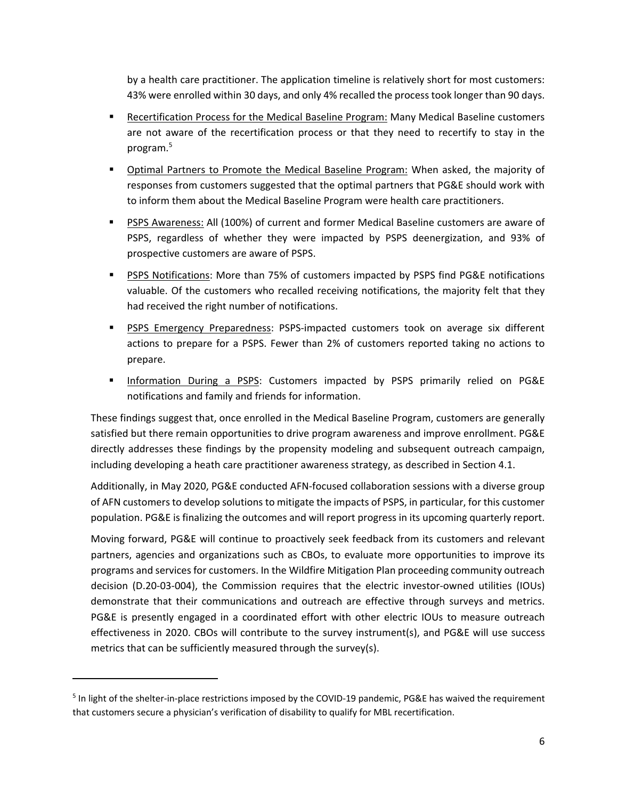by a health care practitioner. The application timeline is relatively short for most customers: 43% were enrolled within 30 days, and only 4% recalled the process took longer than 90 days.

- Recertification Process for the Medical Baseline Program: Many Medical Baseline customers are not aware of the recertification process or that they need to recertify to stay in the program.5
- **Dpromal Partners to Promote the Medical Baseline Program:** When asked, the majority of responses from customers suggested that the optimal partners that PG&E should work with to inform them about the Medical Baseline Program were health care practitioners.
- PSPS Awareness: All (100%) of current and former Medical Baseline customers are aware of PSPS, regardless of whether they were impacted by PSPS deenergization, and 93% of prospective customers are aware of PSPS.
- PSPS Notifications: More than 75% of customers impacted by PSPS find PG&E notifications valuable. Of the customers who recalled receiving notifications, the majority felt that they had received the right number of notifications.
- **PIPS Emergency Preparedness: PSPS-impacted customers took on average six different** actions to prepare for a PSPS. Fewer than 2% of customers reported taking no actions to prepare.
- **Information During a PSPS: Customers impacted by PSPS primarily relied on PG&E** notifications and family and friends for information.

These findings suggest that, once enrolled in the Medical Baseline Program, customers are generally satisfied but there remain opportunities to drive program awareness and improve enrollment. PG&E directly addresses these findings by the propensity modeling and subsequent outreach campaign, including developing a heath care practitioner awareness strategy, as described in Section 4.1.

Additionally, in May 2020, PG&E conducted AFN‐focused collaboration sessions with a diverse group of AFN customersto develop solutions to mitigate the impacts of PSPS, in particular, for this customer population. PG&E is finalizing the outcomes and will report progress in its upcoming quarterly report.

Moving forward, PG&E will continue to proactively seek feedback from its customers and relevant partners, agencies and organizations such as CBOs, to evaluate more opportunities to improve its programs and services for customers. In the Wildfire Mitigation Plan proceeding community outreach decision (D.20‐03‐004), the Commission requires that the electric investor‐owned utilities (IOUs) demonstrate that their communications and outreach are effective through surveys and metrics. PG&E is presently engaged in a coordinated effort with other electric IOUs to measure outreach effectiveness in 2020. CBOs will contribute to the survey instrument(s), and PG&E will use success metrics that can be sufficiently measured through the survey(s).

<sup>&</sup>lt;sup>5</sup> In light of the shelter-in-place restrictions imposed by the COVID-19 pandemic, PG&E has waived the requirement that customers secure a physician's verification of disability to qualify for MBL recertification.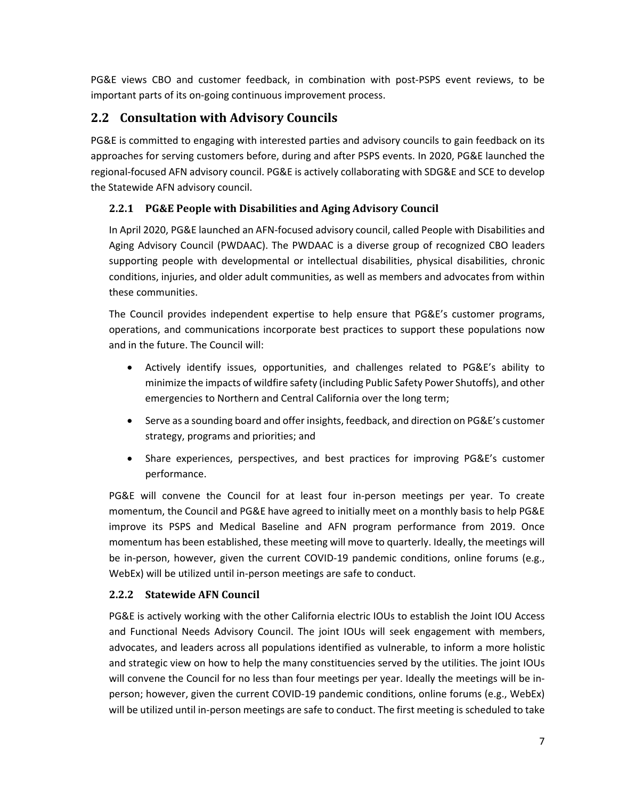PG&E views CBO and customer feedback, in combination with post‐PSPS event reviews, to be important parts of its on‐going continuous improvement process.

# **2.2 Consultation with Advisory Councils**

PG&E is committed to engaging with interested parties and advisory councils to gain feedback on its approaches for serving customers before, during and after PSPS events. In 2020, PG&E launched the regional‐focused AFN advisory council. PG&E is actively collaborating with SDG&E and SCE to develop the Statewide AFN advisory council.

### **2.2.1 PG&E People with Disabilities and Aging Advisory Council**

In April 2020, PG&E launched an AFN‐focused advisory council, called People with Disabilities and Aging Advisory Council (PWDAAC). The PWDAAC is a diverse group of recognized CBO leaders supporting people with developmental or intellectual disabilities, physical disabilities, chronic conditions, injuries, and older adult communities, as well as members and advocates from within these communities.

The Council provides independent expertise to help ensure that PG&E's customer programs, operations, and communications incorporate best practices to support these populations now and in the future. The Council will:

- Actively identify issues, opportunities, and challenges related to PG&E's ability to minimize the impacts of wildfire safety (including Public Safety Power Shutoffs), and other emergencies to Northern and Central California over the long term;
- Serve as a sounding board and offer insights, feedback, and direction on PG&E's customer strategy, programs and priorities; and
- Share experiences, perspectives, and best practices for improving PG&E's customer performance.

PG&E will convene the Council for at least four in‐person meetings per year. To create momentum, the Council and PG&E have agreed to initially meet on a monthly basis to help PG&E improve its PSPS and Medical Baseline and AFN program performance from 2019. Once momentum has been established, these meeting will move to quarterly. Ideally, the meetings will be in-person, however, given the current COVID-19 pandemic conditions, online forums (e.g., WebEx) will be utilized until in‐person meetings are safe to conduct.

### **2.2.2 Statewide AFN Council**

PG&E is actively working with the other California electric IOUs to establish the Joint IOU Access and Functional Needs Advisory Council. The joint IOUs will seek engagement with members, advocates, and leaders across all populations identified as vulnerable, to inform a more holistic and strategic view on how to help the many constituencies served by the utilities. The joint IOUs will convene the Council for no less than four meetings per year. Ideally the meetings will be inperson; however, given the current COVID‐19 pandemic conditions, online forums (e.g., WebEx) will be utilized until in‐person meetings are safe to conduct. The first meeting is scheduled to take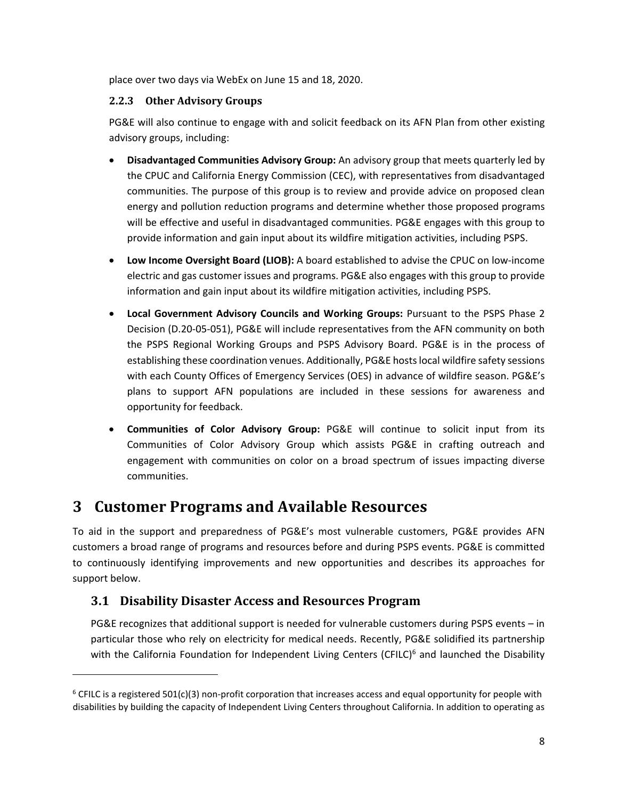place over two days via WebEx on June 15 and 18, 2020.

#### **2.2.3 Other Advisory Groups**

PG&E will also continue to engage with and solicit feedback on its AFN Plan from other existing advisory groups, including:

- **Disadvantaged Communities Advisory Group:** An advisory group that meets quarterly led by the CPUC and California Energy Commission (CEC), with representatives from disadvantaged communities. The purpose of this group is to review and provide advice on proposed clean energy and pollution reduction programs and determine whether those proposed programs will be effective and useful in disadvantaged communities. PG&E engages with this group to provide information and gain input about its wildfire mitigation activities, including PSPS.
- **Low Income Oversight Board (LIOB):** A board established to advise the CPUC on low‐income electric and gas customer issues and programs. PG&E also engages with this group to provide information and gain input about its wildfire mitigation activities, including PSPS.
- **Local Government Advisory Councils and Working Groups:** Pursuant to the PSPS Phase 2 Decision (D.20‐05‐051), PG&E will include representatives from the AFN community on both the PSPS Regional Working Groups and PSPS Advisory Board. PG&E is in the process of establishing these coordination venues. Additionally, PG&E hostslocal wildfire safety sessions with each County Offices of Emergency Services (OES) in advance of wildfire season. PG&E's plans to support AFN populations are included in these sessions for awareness and opportunity for feedback.
- **Communities of Color Advisory Group:** PG&E will continue to solicit input from its Communities of Color Advisory Group which assists PG&E in crafting outreach and engagement with communities on color on a broad spectrum of issues impacting diverse communities.

# **3 Customer Programs and Available Resources**

To aid in the support and preparedness of PG&E's most vulnerable customers, PG&E provides AFN customers a broad range of programs and resources before and during PSPS events. PG&E is committed to continuously identifying improvements and new opportunities and describes its approaches for support below.

### **3.1 Disability Disaster Access and Resources Program**

PG&E recognizes that additional support is needed for vulnerable customers during PSPS events – in particular those who rely on electricity for medical needs. Recently, PG&E solidified its partnership with the California Foundation for Independent Living Centers (CFILC)<sup>6</sup> and launched the Disability

 $6$  CFILC is a registered 501(c)(3) non-profit corporation that increases access and equal opportunity for people with disabilities by building the capacity of Independent Living Centers throughout California. In addition to operating as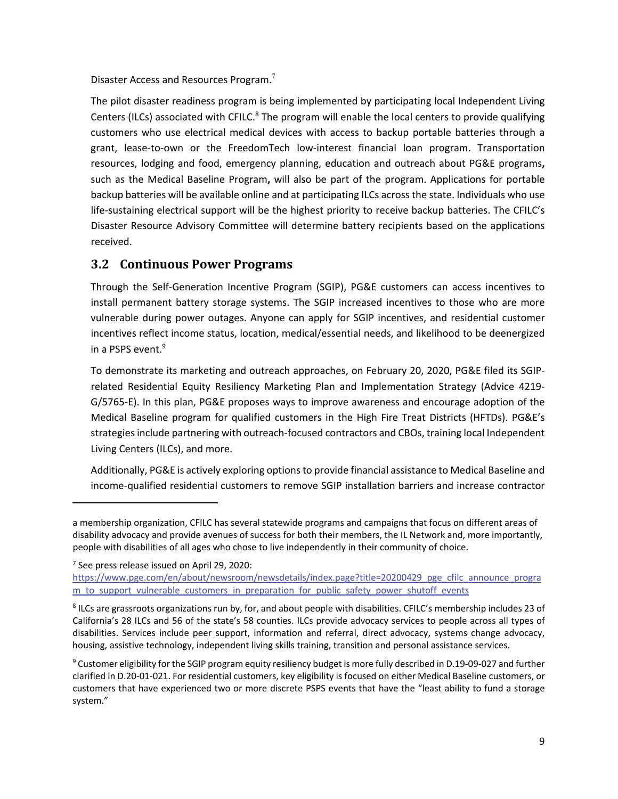Disaster Access and Resources Program.<sup>7</sup>

The pilot disaster readiness program is being implemented by participating local Independent Living Centers (ILCs) associated with CFILC.<sup>8</sup> The program will enable the local centers to provide qualifying customers who use electrical medical devices with access to backup portable batteries through a grant, lease‐to‐own or the FreedomTech low‐interest financial loan program. Transportation resources, lodging and food, emergency planning, education and outreach about PG&E programs**,** such as the Medical Baseline Program**,** will also be part of the program. Applications for portable backup batteries will be available online and at participating ILCs across the state. Individuals who use life-sustaining electrical support will be the highest priority to receive backup batteries. The CFILC's Disaster Resource Advisory Committee will determine battery recipients based on the applications received.

### **3.2 Continuous Power Programs**

Through the Self‐Generation Incentive Program (SGIP), PG&E customers can access incentives to install permanent battery storage systems. The SGIP increased incentives to those who are more vulnerable during power outages. Anyone can apply for SGIP incentives, and residential customer incentives reflect income status, location, medical/essential needs, and likelihood to be deenergized in a PSPS event.<sup>9</sup>

To demonstrate its marketing and outreach approaches, on February 20, 2020, PG&E filed its SGIP‐ related Residential Equity Resiliency Marketing Plan and Implementation Strategy (Advice 4219‐ G/5765‐E). In this plan, PG&E proposes ways to improve awareness and encourage adoption of the Medical Baseline program for qualified customers in the High Fire Treat Districts (HFTDs). PG&E's strategies include partnering with outreach-focused contractors and CBOs, training local Independent Living Centers (ILCs), and more.

Additionally, PG&E is actively exploring optionsto provide financial assistance to Medical Baseline and income‐qualified residential customers to remove SGIP installation barriers and increase contractor

<sup>7</sup> See press release issued on April 29, 2020:

a membership organization, CFILC has several statewide programs and campaigns that focus on different areas of disability advocacy and provide avenues of success for both their members, the IL Network and, more importantly, people with disabilities of all ages who chose to live independently in their community of choice.

https://www.pge.com/en/about/newsroom/newsdetails/index.page?title=20200429\_pge\_cfilc\_announce\_progra m to support vulnerable customers in preparation for public safety power shutoff events

<sup>8</sup> ILCs are grassroots organizations run by, for, and about people with disabilities. CFILC's membership includes 23 of California's 28 ILCs and 56 of the state's 58 counties. ILCs provide advocacy services to people across all types of disabilities. Services include peer support, information and referral, direct advocacy, systems change advocacy, housing, assistive technology, independent living skills training, transition and personal assistance services.

<sup>9</sup> Customer eligibility forthe SGIP program equity resiliency budget is more fully described in D.19‐09‐027 and further clarified in D.20‐01‐021. For residential customers, key eligibility is focused on either Medical Baseline customers, or customers that have experienced two or more discrete PSPS events that have the "least ability to fund a storage system."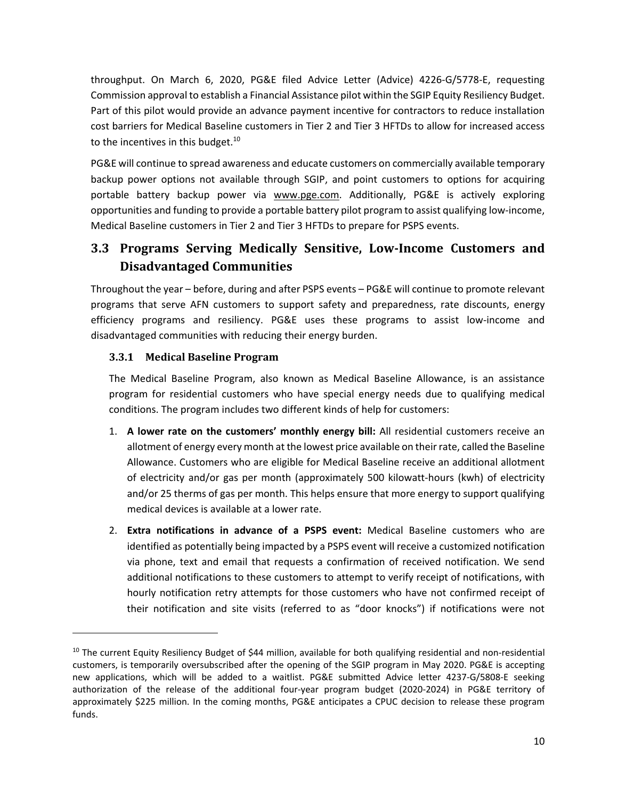throughput. On March 6, 2020, PG&E filed Advice Letter (Advice) 4226‐G/5778‐E, requesting Commission approval to establish a Financial Assistance pilot within the SGIP Equity Resiliency Budget. Part of this pilot would provide an advance payment incentive for contractors to reduce installation cost barriers for Medical Baseline customers in Tier 2 and Tier 3 HFTDs to allow for increased access to the incentives in this budget.<sup>10</sup>

PG&E will continue to spread awareness and educate customers on commercially available temporary backup power options not available through SGIP, and point customers to options for acquiring portable battery backup power via www.pge.com. Additionally, PG&E is actively exploring opportunities and funding to provide a portable battery pilot program to assist qualifying low‐income, Medical Baseline customers in Tier 2 and Tier 3 HFTDs to prepare for PSPS events.

# **3.3 Programs Serving Medically Sensitive, Low‐Income Customers and Disadvantaged Communities**

Throughout the year – before, during and after PSPS events – PG&E will continue to promote relevant programs that serve AFN customers to support safety and preparedness, rate discounts, energy efficiency programs and resiliency. PG&E uses these programs to assist low‐income and disadvantaged communities with reducing their energy burden.

### **3.3.1 Medical Baseline Program**

The Medical Baseline Program, also known as Medical Baseline Allowance, is an assistance program for residential customers who have special energy needs due to qualifying medical conditions. The program includes two different kinds of help for customers:

- 1. **A lower rate on the customers' monthly energy bill:** All residential customers receive an allotment of energy every month at the lowest price available on theirrate, called the Baseline Allowance. Customers who are eligible for Medical Baseline receive an additional allotment of electricity and/or gas per month (approximately 500 kilowatt‐hours (kwh) of electricity and/or 25 therms of gas per month. This helps ensure that more energy to support qualifying medical devices is available at a lower rate.
- 2. **Extra notifications in advance of a PSPS event:** Medical Baseline customers who are identified as potentially being impacted by a PSPS event will receive a customized notification via phone, text and email that requests a confirmation of received notification. We send additional notifications to these customers to attempt to verify receipt of notifications, with hourly notification retry attempts for those customers who have not confirmed receipt of their notification and site visits (referred to as "door knocks") if notifications were not

 $10$  The current Equity Resiliency Budget of \$44 million, available for both qualifying residential and non-residential customers, is temporarily oversubscribed after the opening of the SGIP program in May 2020. PG&E is accepting new applications, which will be added to a waitlist. PG&E submitted Advice letter 4237‐G/5808‐E seeking authorization of the release of the additional four‐year program budget (2020‐2024) in PG&E territory of approximately \$225 million. In the coming months, PG&E anticipates a CPUC decision to release these program funds.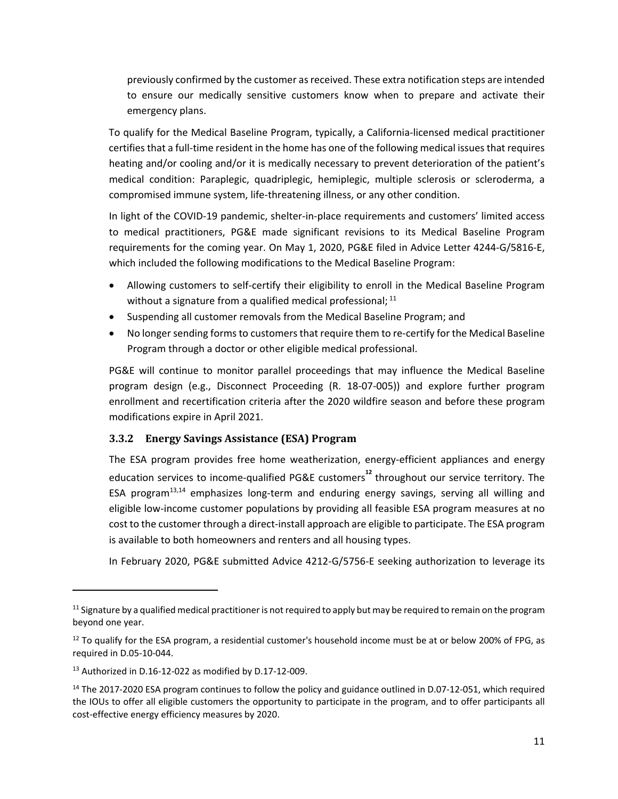previously confirmed by the customer asreceived. These extra notification steps are intended to ensure our medically sensitive customers know when to prepare and activate their emergency plans.

To qualify for the Medical Baseline Program, typically, a California‐licensed medical practitioner certifies that a full-time resident in the home has one of the following medical issues that requires heating and/or cooling and/or it is medically necessary to prevent deterioration of the patient's medical condition: Paraplegic, quadriplegic, hemiplegic, multiple sclerosis or scleroderma, a compromised immune system, life‐threatening illness, or any other condition.

In light of the COVID‐19 pandemic, shelter‐in‐place requirements and customers' limited access to medical practitioners, PG&E made significant revisions to its Medical Baseline Program requirements for the coming year. On May 1, 2020, PG&E filed in Advice Letter 4244‐G/5816‐E, which included the following modifications to the Medical Baseline Program:

- Allowing customers to self-certify their eligibility to enroll in the Medical Baseline Program without a signature from a qualified medical professional; <sup>11</sup>
- Suspending all customer removals from the Medical Baseline Program; and
- No longer sending forms to customers that require them to re-certify for the Medical Baseline Program through a doctor or other eligible medical professional.

PG&E will continue to monitor parallel proceedings that may influence the Medical Baseline program design (e.g., Disconnect Proceeding (R. 18‐07‐005)) and explore further program enrollment and recertification criteria after the 2020 wildfire season and before these program modifications expire in April 2021.

### **3.3.2 Energy Savings Assistance (ESA) Program**

The ESA program provides free home weatherization, energy‐efficient appliances and energy education services to income‐qualified PG&E customers**<sup>12</sup>** throughout our service territory. The ESA program $13,14$  emphasizes long-term and enduring energy savings, serving all willing and eligible low‐income customer populations by providing all feasible ESA program measures at no cost to the customer through a direct‐install approach are eligible to participate. The ESA program is available to both homeowners and renters and all housing types.

In February 2020, PG&E submitted Advice 4212‐G/5756‐E seeking authorization to leverage its

 $11$  Signature by a qualified medical practitioner is not required to apply but may be required to remain on the program beyond one year.

<sup>&</sup>lt;sup>12</sup> To qualify for the ESA program, a residential customer's household income must be at or below 200% of FPG, as required in D.05‐10‐044.

<sup>13</sup> Authorized in D.16‐12‐022 as modified by D.17‐12‐009.

<sup>&</sup>lt;sup>14</sup> The 2017-2020 ESA program continues to follow the policy and guidance outlined in D.07-12-051, which required the IOUs to offer all eligible customers the opportunity to participate in the program, and to offer participants all cost‐effective energy efficiency measures by 2020.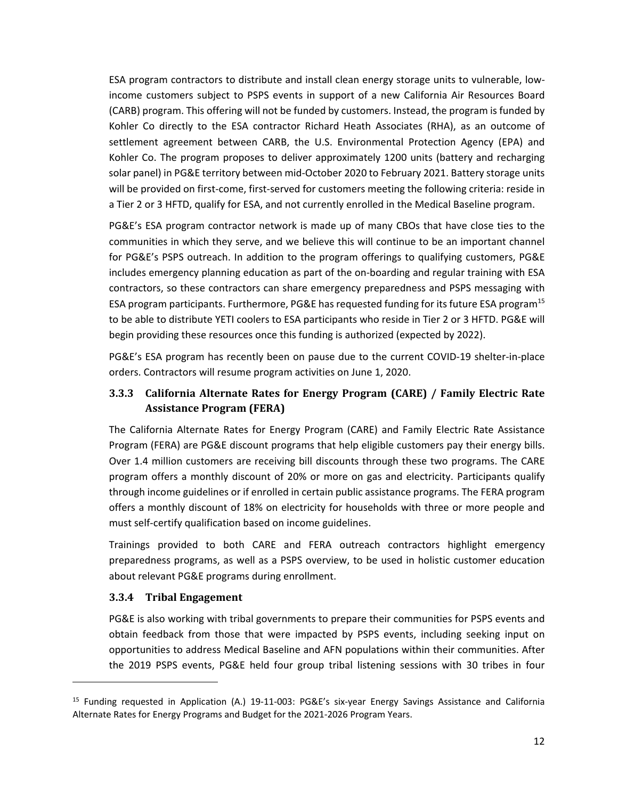ESA program contractors to distribute and install clean energy storage units to vulnerable, low‐ income customers subject to PSPS events in support of a new California Air Resources Board (CARB) program. This offering will not be funded by customers. Instead, the program is funded by Kohler Co directly to the ESA contractor Richard Heath Associates (RHA), as an outcome of settlement agreement between CARB, the U.S. Environmental Protection Agency (EPA) and Kohler Co. The program proposes to deliver approximately 1200 units (battery and recharging solar panel) in PG&E territory between mid‐October 2020 to February 2021. Battery storage units will be provided on first-come, first-served for customers meeting the following criteria: reside in a Tier 2 or 3 HFTD, qualify for ESA, and not currently enrolled in the Medical Baseline program.

PG&E's ESA program contractor network is made up of many CBOs that have close ties to the communities in which they serve, and we believe this will continue to be an important channel for PG&E's PSPS outreach. In addition to the program offerings to qualifying customers, PG&E includes emergency planning education as part of the on‐boarding and regular training with ESA contractors, so these contractors can share emergency preparedness and PSPS messaging with ESA program participants. Furthermore, PG&E has requested funding for its future ESA program<sup>15</sup> to be able to distribute YETI coolers to ESA participants who reside in Tier 2 or 3 HFTD. PG&E will begin providing these resources once this funding is authorized (expected by 2022).

PG&E's ESA program has recently been on pause due to the current COVID‐19 shelter‐in‐place orders. Contractors will resume program activities on June 1, 2020.

### **3.3.3 California Alternate Rates for Energy Program (CARE) / Family Electric Rate Assistance Program (FERA)**

The California Alternate Rates for Energy Program (CARE) and Family Electric Rate Assistance Program (FERA) are PG&E discount programs that help eligible customers pay their energy bills. Over 1.4 million customers are receiving bill discounts through these two programs. The CARE program offers a monthly discount of 20% or more on gas and electricity. Participants qualify through income guidelines or if enrolled in certain public assistance programs. The FERA program offers a monthly discount of 18% on electricity for households with three or more people and must self‐certify qualification based on income guidelines.

Trainings provided to both CARE and FERA outreach contractors highlight emergency preparedness programs, as well as a PSPS overview, to be used in holistic customer education about relevant PG&E programs during enrollment.

#### **3.3.4 Tribal Engagement**

PG&E is also working with tribal governments to prepare their communities for PSPS events and obtain feedback from those that were impacted by PSPS events, including seeking input on opportunities to address Medical Baseline and AFN populations within their communities. After the 2019 PSPS events, PG&E held four group tribal listening sessions with 30 tribes in four

<sup>15</sup> Funding requested in Application (A.) 19‐11‐003: PG&E's six‐year Energy Savings Assistance and California Alternate Rates for Energy Programs and Budget for the 2021‐2026 Program Years.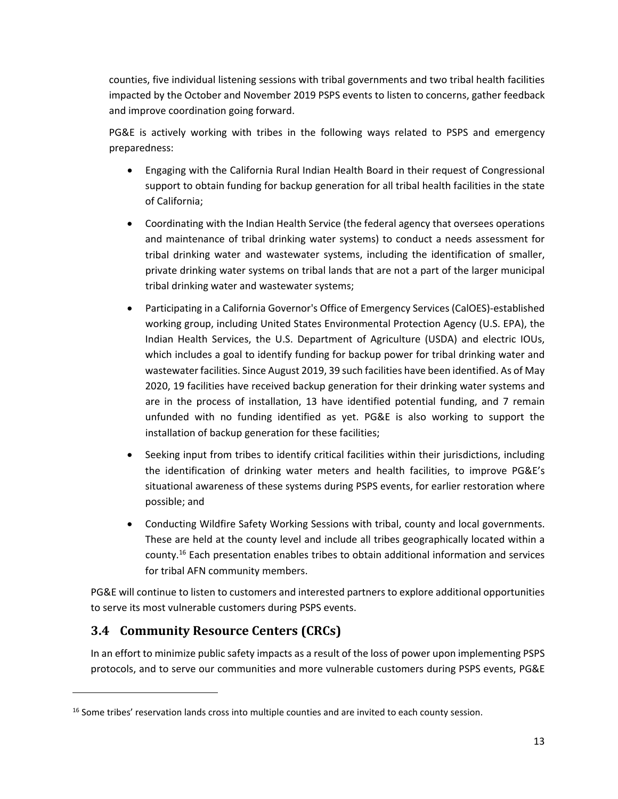counties, five individual listening sessions with tribal governments and two tribal health facilities impacted by the October and November 2019 PSPS events to listen to concerns, gather feedback and improve coordination going forward.

PG&E is actively working with tribes in the following ways related to PSPS and emergency preparedness:

- Engaging with the California Rural Indian Health Board in their request of Congressional support to obtain funding for backup generation for all tribal health facilities in the state of California;
- Coordinating with the Indian Health Service (the federal agency that oversees operations and maintenance of tribal drinking water systems) to conduct a needs assessment for tribal drinking water and wastewater systems, including the identification of smaller, private drinking water systems on tribal lands that are not a part of the larger municipal tribal drinking water and wastewater systems;
- Participating in a California Governor's Office of Emergency Services (CalOES)‐established working group, including United States Environmental Protection Agency (U.S. EPA), the Indian Health Services, the U.S. Department of Agriculture (USDA) and electric IOUs, which includes a goal to identify funding for backup power for tribal drinking water and wastewater facilities. Since August 2019, 39 such facilities have been identified. As of May 2020, 19 facilities have received backup generation for their drinking water systems and are in the process of installation, 13 have identified potential funding, and 7 remain unfunded with no funding identified as yet. PG&E is also working to support the installation of backup generation for these facilities;
- Seeking input from tribes to identify critical facilities within their jurisdictions, including the identification of drinking water meters and health facilities, to improve PG&E's situational awareness of these systems during PSPS events, for earlier restoration where possible; and
- Conducting Wildfire Safety Working Sessions with tribal, county and local governments. These are held at the county level and include all tribes geographically located within a county.16 Each presentation enables tribes to obtain additional information and services for tribal AFN community members.

PG&E will continue to listen to customers and interested partners to explore additional opportunities to serve its most vulnerable customers during PSPS events.

### **3.4 Community Resource Centers (CRCs)**

In an effort to minimize public safety impacts as a result of the loss of power upon implementing PSPS protocols, and to serve our communities and more vulnerable customers during PSPS events, PG&E

<sup>&</sup>lt;sup>16</sup> Some tribes' reservation lands cross into multiple counties and are invited to each county session.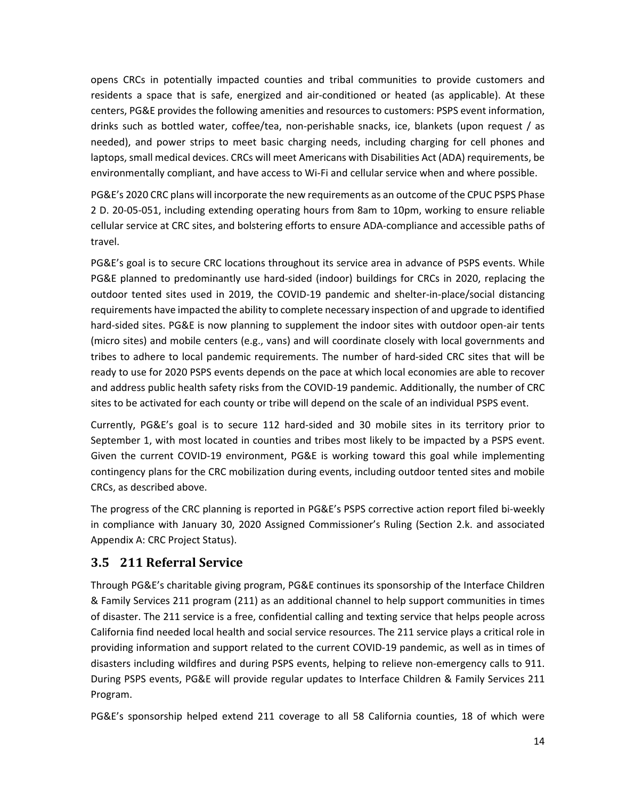opens CRCs in potentially impacted counties and tribal communities to provide customers and residents a space that is safe, energized and air‐conditioned or heated (as applicable). At these centers, PG&E provides the following amenities and resources to customers: PSPS event information, drinks such as bottled water, coffee/tea, non‐perishable snacks, ice, blankets (upon request / as needed), and power strips to meet basic charging needs, including charging for cell phones and laptops, small medical devices. CRCs will meet Americans with Disabilities Act (ADA) requirements, be environmentally compliant, and have access to Wi‐Fi and cellular service when and where possible.

PG&E's 2020 CRC plans will incorporate the new requirements as an outcome of the CPUC PSPS Phase 2 D. 20‐05‐051, including extending operating hours from 8am to 10pm, working to ensure reliable cellular service at CRC sites, and bolstering efforts to ensure ADA‐compliance and accessible paths of travel.

PG&E's goal is to secure CRC locations throughout its service area in advance of PSPS events. While PG&E planned to predominantly use hard‐sided (indoor) buildings for CRCs in 2020, replacing the outdoor tented sites used in 2019, the COVID‐19 pandemic and shelter‐in‐place/social distancing requirements have impacted the ability to complete necessary inspection of and upgrade to identified hard-sided sites. PG&E is now planning to supplement the indoor sites with outdoor open-air tents (micro sites) and mobile centers (e.g., vans) and will coordinate closely with local governments and tribes to adhere to local pandemic requirements. The number of hard‐sided CRC sites that will be ready to use for 2020 PSPS events depends on the pace at which local economies are able to recover and address public health safety risks from the COVID‐19 pandemic. Additionally, the number of CRC sites to be activated for each county or tribe will depend on the scale of an individual PSPS event.

Currently, PG&E's goal is to secure 112 hard‐sided and 30 mobile sites in its territory prior to September 1, with most located in counties and tribes most likely to be impacted by a PSPS event. Given the current COVID‐19 environment, PG&E is working toward this goal while implementing contingency plans for the CRC mobilization during events, including outdoor tented sites and mobile CRCs, as described above.

The progress of the CRC planning is reported in PG&E's PSPS corrective action report filed bi‐weekly in compliance with January 30, 2020 Assigned Commissioner's Ruling (Section 2.k. and associated Appendix A: CRC Project Status).

### **3.5 211 Referral Service**

Through PG&E's charitable giving program, PG&E continues its sponsorship of the Interface Children & Family Services 211 program (211) as an additional channel to help support communities in times of disaster. The 211 service is a free, confidential calling and texting service that helps people across California find needed local health and social service resources. The 211 service plays a critical role in providing information and support related to the current COVID‐19 pandemic, as well as in times of disasters including wildfires and during PSPS events, helping to relieve non-emergency calls to 911. During PSPS events, PG&E will provide regular updates to Interface Children & Family Services 211 Program.

PG&E's sponsorship helped extend 211 coverage to all 58 California counties, 18 of which were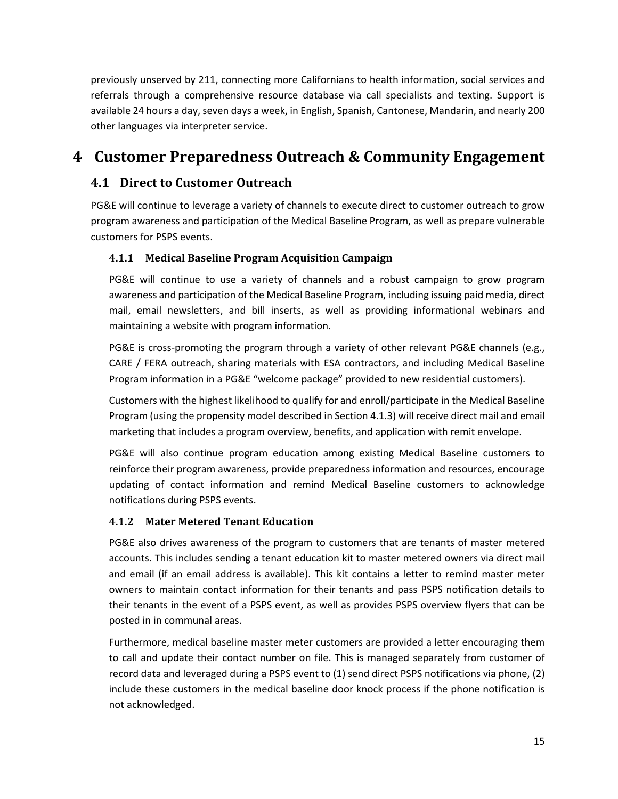previously unserved by 211, connecting more Californians to health information, social services and referrals through a comprehensive resource database via call specialists and texting. Support is available 24 hours a day, seven days a week, in English, Spanish, Cantonese, Mandarin, and nearly 200 other languages via interpreter service.

# **4 Customer Preparedness Outreach & Community Engagement**

### **4.1 Direct to Customer Outreach**

PG&E will continue to leverage a variety of channels to execute direct to customer outreach to grow program awareness and participation of the Medical Baseline Program, as well as prepare vulnerable customers for PSPS events.

### **4.1.1 Medical Baseline Program Acquisition Campaign**

PG&E will continue to use a variety of channels and a robust campaign to grow program awareness and participation of the Medical Baseline Program, including issuing paid media, direct mail, email newsletters, and bill inserts, as well as providing informational webinars and maintaining a website with program information.

PG&E is cross-promoting the program through a variety of other relevant PG&E channels (e.g., CARE / FERA outreach, sharing materials with ESA contractors, and including Medical Baseline Program information in a PG&E "welcome package" provided to new residential customers).

Customers with the highest likelihood to qualify for and enroll/participate in the Medical Baseline Program (using the propensity model described in Section 4.1.3) will receive direct mail and email marketing that includes a program overview, benefits, and application with remit envelope.

PG&E will also continue program education among existing Medical Baseline customers to reinforce their program awareness, provide preparedness information and resources, encourage updating of contact information and remind Medical Baseline customers to acknowledge notifications during PSPS events.

### **4.1.2 Mater Metered Tenant Education**

PG&E also drives awareness of the program to customers that are tenants of master metered accounts. This includes sending a tenant education kit to master metered owners via direct mail and email (if an email address is available). This kit contains a letter to remind master meter owners to maintain contact information for their tenants and pass PSPS notification details to their tenants in the event of a PSPS event, as well as provides PSPS overview flyers that can be posted in in communal areas.

Furthermore, medical baseline master meter customers are provided a letter encouraging them to call and update their contact number on file. This is managed separately from customer of record data and leveraged during a PSPS event to (1) send direct PSPS notifications via phone, (2) include these customers in the medical baseline door knock process if the phone notification is not acknowledged.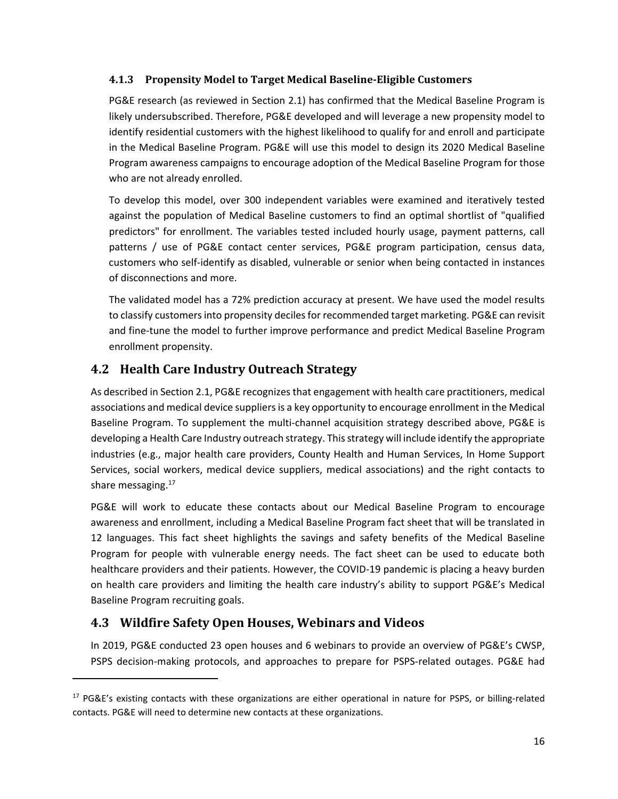### **4.1.3 Propensity Model to Target Medical Baseline‐Eligible Customers**

PG&E research (as reviewed in Section 2.1) has confirmed that the Medical Baseline Program is likely undersubscribed. Therefore, PG&E developed and will leverage a new propensity model to identify residential customers with the highest likelihood to qualify for and enroll and participate in the Medical Baseline Program. PG&E will use this model to design its 2020 Medical Baseline Program awareness campaigns to encourage adoption of the Medical Baseline Program for those who are not already enrolled.

To develop this model, over 300 independent variables were examined and iteratively tested against the population of Medical Baseline customers to find an optimal shortlist of "qualified predictors" for enrollment. The variables tested included hourly usage, payment patterns, call patterns / use of PG&E contact center services, PG&E program participation, census data, customers who self‐identify as disabled, vulnerable or senior when being contacted in instances of disconnections and more.

The validated model has a 72% prediction accuracy at present. We have used the model results to classify customers into propensity deciles for recommended target marketing. PG&E can revisit and fine‐tune the model to further improve performance and predict Medical Baseline Program enrollment propensity.

### **4.2 Health Care Industry Outreach Strategy**

As described in Section 2.1, PG&E recognizes that engagement with health care practitioners, medical associations and medical device suppliers is a key opportunity to encourage enrollment in the Medical Baseline Program. To supplement the multi‐channel acquisition strategy described above, PG&E is developing a Health Care Industry outreach strategy. This strategy will include identify the appropriate industries (e.g., major health care providers, County Health and Human Services, In Home Support Services, social workers, medical device suppliers, medical associations) and the right contacts to share messaging.<sup>17</sup>

PG&E will work to educate these contacts about our Medical Baseline Program to encourage awareness and enrollment, including a Medical Baseline Program fact sheet that will be translated in 12 languages. This fact sheet highlights the savings and safety benefits of the Medical Baseline Program for people with vulnerable energy needs. The fact sheet can be used to educate both healthcare providers and their patients. However, the COVID‐19 pandemic is placing a heavy burden on health care providers and limiting the health care industry's ability to support PG&E's Medical Baseline Program recruiting goals.

### **4.3 Wildfire Safety Open Houses, Webinars and Videos**

In 2019, PG&E conducted 23 open houses and 6 webinars to provide an overview of PG&E's CWSP, PSPS decision‐making protocols, and approaches to prepare for PSPS‐related outages. PG&E had

 $17$  PG&E's existing contacts with these organizations are either operational in nature for PSPS, or billing-related contacts. PG&E will need to determine new contacts at these organizations.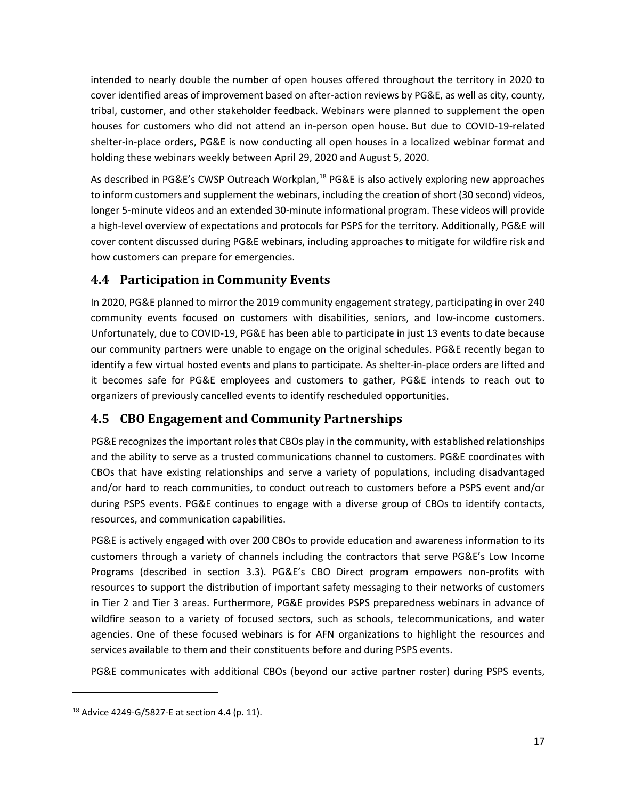intended to nearly double the number of open houses offered throughout the territory in 2020 to cover identified areas of improvement based on after‐action reviews by PG&E, as well as city, county, tribal, customer, and other stakeholder feedback. Webinars were planned to supplement the open houses for customers who did not attend an in‐person open house. But due to COVID‐19‐related shelter-in-place orders, PG&E is now conducting all open houses in a localized webinar format and holding these webinars weekly between April 29, 2020 and August 5, 2020.

As described in PG&E's CWSP Outreach Workplan,<sup>18</sup> PG&E is also actively exploring new approaches to inform customers and supplement the webinars, including the creation of short (30 second) videos, longer 5‐minute videos and an extended 30‐minute informational program. These videos will provide a high‐level overview of expectations and protocols for PSPS for the territory. Additionally, PG&E will cover content discussed during PG&E webinars, including approaches to mitigate for wildfire risk and how customers can prepare for emergencies.

## **4.4 Participation in Community Events**

In 2020, PG&E planned to mirror the 2019 community engagement strategy, participating in over 240 community events focused on customers with disabilities, seniors, and low-income customers. Unfortunately, due to COVID‐19, PG&E has been able to participate in just 13 events to date because our community partners were unable to engage on the original schedules. PG&E recently began to identify a few virtual hosted events and plans to participate. As shelter‐in‐place orders are lifted and it becomes safe for PG&E employees and customers to gather, PG&E intends to reach out to organizers of previously cancelled events to identify rescheduled opportunities.

# **4.5 CBO Engagement and Community Partnerships**

PG&E recognizes the important roles that CBOs play in the community, with established relationships and the ability to serve as a trusted communications channel to customers. PG&E coordinates with CBOs that have existing relationships and serve a variety of populations, including disadvantaged and/or hard to reach communities, to conduct outreach to customers before a PSPS event and/or during PSPS events. PG&E continues to engage with a diverse group of CBOs to identify contacts, resources, and communication capabilities.

PG&E is actively engaged with over 200 CBOs to provide education and awareness information to its customers through a variety of channels including the contractors that serve PG&E's Low Income Programs (described in section 3.3). PG&E's CBO Direct program empowers non‐profits with resources to support the distribution of important safety messaging to their networks of customers in Tier 2 and Tier 3 areas. Furthermore, PG&E provides PSPS preparedness webinars in advance of wildfire season to a variety of focused sectors, such as schools, telecommunications, and water agencies. One of these focused webinars is for AFN organizations to highlight the resources and services available to them and their constituents before and during PSPS events.

PG&E communicates with additional CBOs (beyond our active partner roster) during PSPS events,

<sup>18</sup> Advice 4249‐G/5827‐E at section 4.4 (p. 11).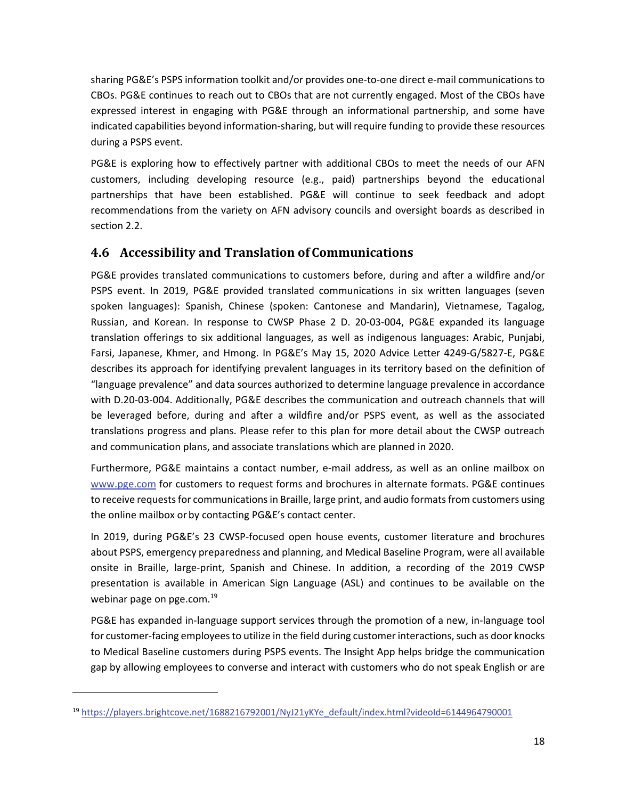sharing PG&E's PSPS information toolkit and/or provides one‐to‐one direct e‐mail communications to CBOs. PG&E continues to reach out to CBOs that are not currently engaged. Most of the CBOs have expressed interest in engaging with PG&E through an informational partnership, and some have indicated capabilities beyond information‐sharing, but will require funding to provide these resources during a PSPS event.

PG&E is exploring how to effectively partner with additional CBOs to meet the needs of our AFN customers, including developing resource (e.g., paid) partnerships beyond the educational partnerships that have been established. PG&E will continue to seek feedback and adopt recommendations from the variety on AFN advisory councils and oversight boards as described in section 2.2.

### **4.6 Accessibility and Translation of Communications**

PG&E provides translated communications to customers before, during and after a wildfire and/or PSPS event. In 2019, PG&E provided translated communications in six written languages (seven spoken languages): Spanish, Chinese (spoken: Cantonese and Mandarin), Vietnamese, Tagalog, Russian, and Korean. In response to CWSP Phase 2 D. 20‐03‐004, PG&E expanded its language translation offerings to six additional languages, as well as indigenous languages: Arabic, Punjabi, Farsi, Japanese, Khmer, and Hmong. In PG&E's May 15, 2020 Advice Letter 4249‐G/5827‐E, PG&E describes its approach for identifying prevalent languages in its territory based on the definition of "language prevalence" and data sources authorized to determine language prevalence in accordance with D.20‐03‐004. Additionally, PG&E describes the communication and outreach channels that will be leveraged before, during and after a wildfire and/or PSPS event, as well as the associated translations progress and plans. Please refer to this plan for more detail about the CWSP outreach and communication plans, and associate translations which are planned in 2020.

Furthermore, PG&E maintains a contact number, e‐mail address, as well as an online mailbox on www.pge.com for customers to request forms and brochures in alternate formats. PG&E continues to receive requests for communications in Braille, large print, and audio formats from customers using the online mailbox or by contacting PG&E's contact center.

In 2019, during PG&E's 23 CWSP‐focused open house events, customer literature and brochures about PSPS, emergency preparedness and planning, and Medical Baseline Program, were all available onsite in Braille, large‐print, Spanish and Chinese. In addition, a recording of the 2019 CWSP presentation is available in American Sign Language (ASL) and continues to be available on the webinar page on pge.com.<sup>19</sup>

PG&E has expanded in‐language support services through the promotion of a new, in‐language tool for customer-facing employees to utilize in the field during customer interactions, such as door knocks to Medical Baseline customers during PSPS events. The Insight App helps bridge the communication gap by allowing employees to converse and interact with customers who do not speak English or are

<sup>&</sup>lt;sup>19</sup> https://players.brightcove.net/1688216792001/NyJ21yKYe\_default/index.html?videoId=6144964790001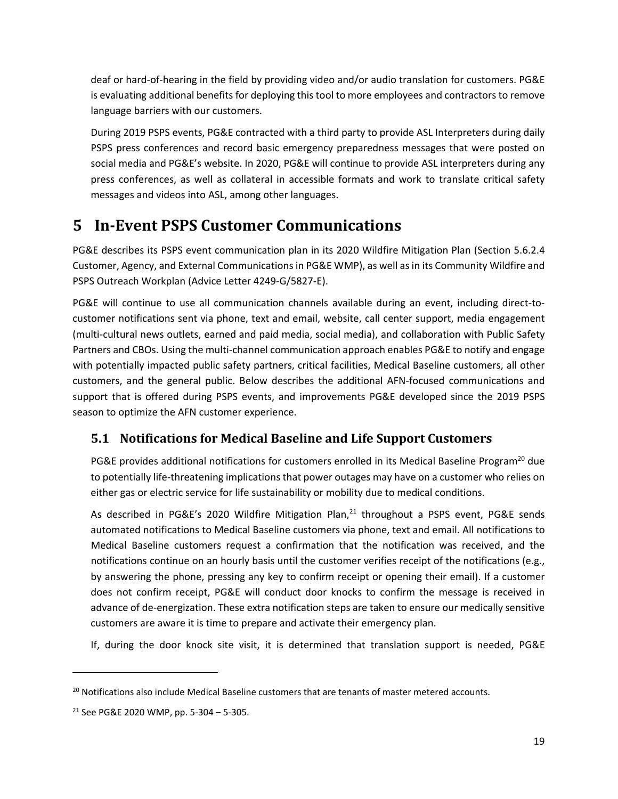deaf or hard‐of‐hearing in the field by providing video and/or audio translation for customers. PG&E is evaluating additional benefits for deploying this tool to more employees and contractors to remove language barriers with our customers.

During 2019 PSPS events, PG&E contracted with a third party to provide ASL Interpreters during daily PSPS press conferences and record basic emergency preparedness messages that were posted on social media and PG&E's website. In 2020, PG&E will continue to provide ASL interpreters during any press conferences, as well as collateral in accessible formats and work to translate critical safety messages and videos into ASL, among other languages.

# **5 In‐Event PSPS Customer Communications**

PG&E describes its PSPS event communication plan in its 2020 Wildfire Mitigation Plan (Section 5.6.2.4 Customer, Agency, and External Communications in PG&E WMP), as well asin its Community Wildfire and PSPS Outreach Workplan (Advice Letter 4249‐G/5827‐E).

PG&E will continue to use all communication channels available during an event, including direct‐to‐ customer notifications sent via phone, text and email, website, call center support, media engagement (multi‐cultural news outlets, earned and paid media, social media), and collaboration with Public Safety Partners and CBOs. Using the multi‐channel communication approach enables PG&E to notify and engage with potentially impacted public safety partners, critical facilities, Medical Baseline customers, all other customers, and the general public. Below describes the additional AFN‐focused communications and support that is offered during PSPS events, and improvements PG&E developed since the 2019 PSPS season to optimize the AFN customer experience.

# **5.1 Notifications for Medical Baseline and Life Support Customers**

PG&E provides additional notifications for customers enrolled in its Medical Baseline Program<sup>20</sup> due to potentially life‐threatening implications that power outages may have on a customer who relies on either gas or electric service for life sustainability or mobility due to medical conditions.

As described in PG&E's 2020 Wildfire Mitigation Plan, $^{21}$  throughout a PSPS event, PG&E sends automated notifications to Medical Baseline customers via phone, text and email. All notifications to Medical Baseline customers request a confirmation that the notification was received, and the notifications continue on an hourly basis until the customer verifies receipt of the notifications (e.g., by answering the phone, pressing any key to confirm receipt or opening their email). If a customer does not confirm receipt, PG&E will conduct door knocks to confirm the message is received in advance of de‐energization. These extra notification steps are taken to ensure our medically sensitive customers are aware it is time to prepare and activate their emergency plan.

If, during the door knock site visit, it is determined that translation support is needed, PG&E

<sup>&</sup>lt;sup>20</sup> Notifications also include Medical Baseline customers that are tenants of master metered accounts.

<sup>21</sup> See PG&E 2020 WMP, pp. 5‐304 – 5‐305.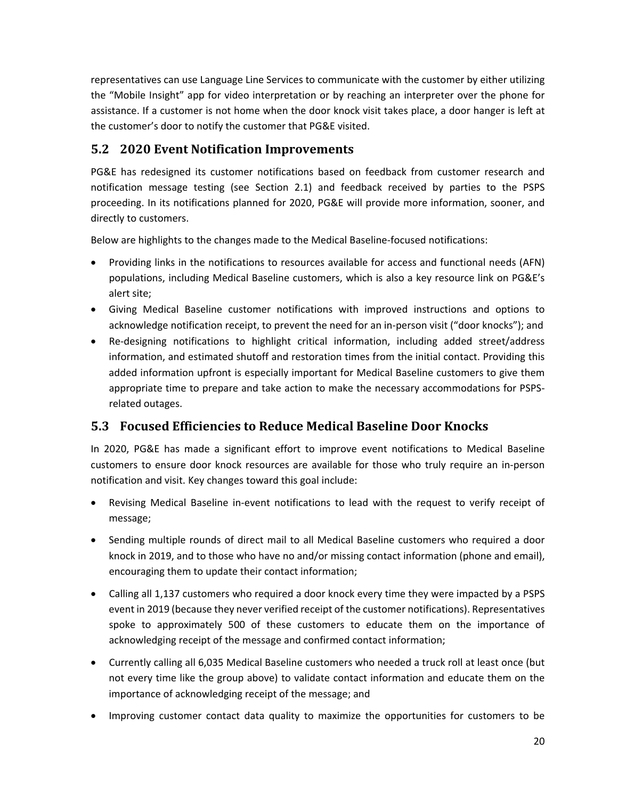representatives can use Language Line Services to communicate with the customer by either utilizing the "Mobile Insight" app for video interpretation or by reaching an interpreter over the phone for assistance. If a customer is not home when the door knock visit takes place, a door hanger is left at the customer's door to notify the customer that PG&E visited.

### **5.2 2020 Event Notification Improvements**

PG&E has redesigned its customer notifications based on feedback from customer research and notification message testing (see Section 2.1) and feedback received by parties to the PSPS proceeding. In its notifications planned for 2020, PG&E will provide more information, sooner, and directly to customers.

Below are highlights to the changes made to the Medical Baseline‐focused notifications:

- Providing links in the notifications to resources available for access and functional needs (AFN) populations, including Medical Baseline customers, which is also a key resource link on PG&E's alert site;
- Giving Medical Baseline customer notifications with improved instructions and options to acknowledge notification receipt, to prevent the need for an in‐person visit ("door knocks"); and
- Re-designing notifications to highlight critical information, including added street/address information, and estimated shutoff and restoration times from the initial contact. Providing this added information upfront is especially important for Medical Baseline customers to give them appropriate time to prepare and take action to make the necessary accommodations for PSPS‐ related outages.

### **5.3 Focused Efficiencies to Reduce Medical Baseline Door Knocks**

In 2020, PG&E has made a significant effort to improve event notifications to Medical Baseline customers to ensure door knock resources are available for those who truly require an in‐person notification and visit. Key changes toward this goal include:

- Revising Medical Baseline in‐event notifications to lead with the request to verify receipt of message;
- Sending multiple rounds of direct mail to all Medical Baseline customers who required a door knock in 2019, and to those who have no and/or missing contact information (phone and email), encouraging them to update their contact information;
- Calling all 1,137 customers who required a door knock every time they were impacted by a PSPS event in 2019 (because they never verified receipt of the customer notifications). Representatives spoke to approximately 500 of these customers to educate them on the importance of acknowledging receipt of the message and confirmed contact information;
- Currently calling all 6,035 Medical Baseline customers who needed a truck roll at least once (but not every time like the group above) to validate contact information and educate them on the importance of acknowledging receipt of the message; and
- Improving customer contact data quality to maximize the opportunities for customers to be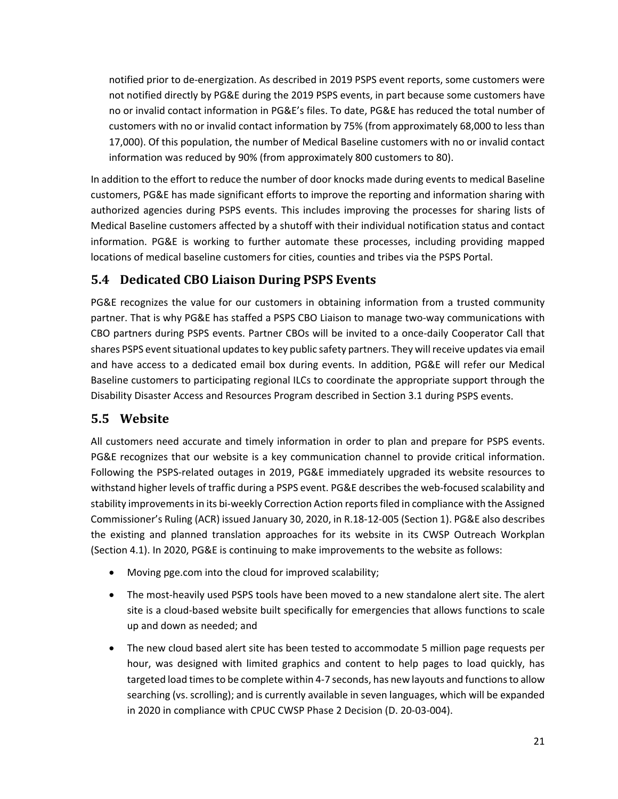notified prior to de‐energization. As described in 2019 PSPS event reports, some customers were not notified directly by PG&E during the 2019 PSPS events, in part because some customers have no or invalid contact information in PG&E's files. To date, PG&E has reduced the total number of customers with no or invalid contact information by 75% (from approximately 68,000 to less than 17,000). Of this population, the number of Medical Baseline customers with no or invalid contact information was reduced by 90% (from approximately 800 customers to 80).

In addition to the effort to reduce the number of door knocks made during events to medical Baseline customers, PG&E has made significant efforts to improve the reporting and information sharing with authorized agencies during PSPS events. This includes improving the processes for sharing lists of Medical Baseline customers affected by a shutoff with their individual notification status and contact information. PG&E is working to further automate these processes, including providing mapped locations of medical baseline customers for cities, counties and tribes via the PSPS Portal.

### **5.4 Dedicated CBO Liaison During PSPS Events**

PG&E recognizes the value for our customers in obtaining information from a trusted community partner. That is why PG&E has staffed a PSPS CBO Liaison to manage two-way communications with CBO partners during PSPS events. Partner CBOs will be invited to a once‐daily Cooperator Call that shares PSPS event situational updates to key public safety partners. They will receive updates via email and have access to a dedicated email box during events. In addition, PG&E will refer our Medical Baseline customers to participating regional ILCs to coordinate the appropriate support through the Disability Disaster Access and Resources Program described in Section 3.1 during PSPS events.

# **5.5 Website**

All customers need accurate and timely information in order to plan and prepare for PSPS events. PG&E recognizes that our website is a key communication channel to provide critical information. Following the PSPS‐related outages in 2019, PG&E immediately upgraded its website resources to withstand higher levels of traffic during a PSPS event. PG&E describes the web‐focused scalability and stability improvements in its bi-weekly Correction Action reports filed in compliance with the Assigned Commissioner's Ruling (ACR) issued January 30, 2020, in R.18‐12‐005 (Section 1). PG&E also describes the existing and planned translation approaches for its website in its CWSP Outreach Workplan (Section 4.1). In 2020, PG&E is continuing to make improvements to the website as follows:

- Moving pge.com into the cloud for improved scalability;
- The most-heavily used PSPS tools have been moved to a new standalone alert site. The alert site is a cloud-based website built specifically for emergencies that allows functions to scale up and down as needed; and
- The new cloud based alert site has been tested to accommodate 5 million page requests per hour, was designed with limited graphics and content to help pages to load quickly, has targeted load timesto be complete within 4‐7 seconds, has new layouts and functionsto allow searching (vs. scrolling); and is currently available in seven languages, which will be expanded in 2020 in compliance with CPUC CWSP Phase 2 Decision (D. 20‐03‐004).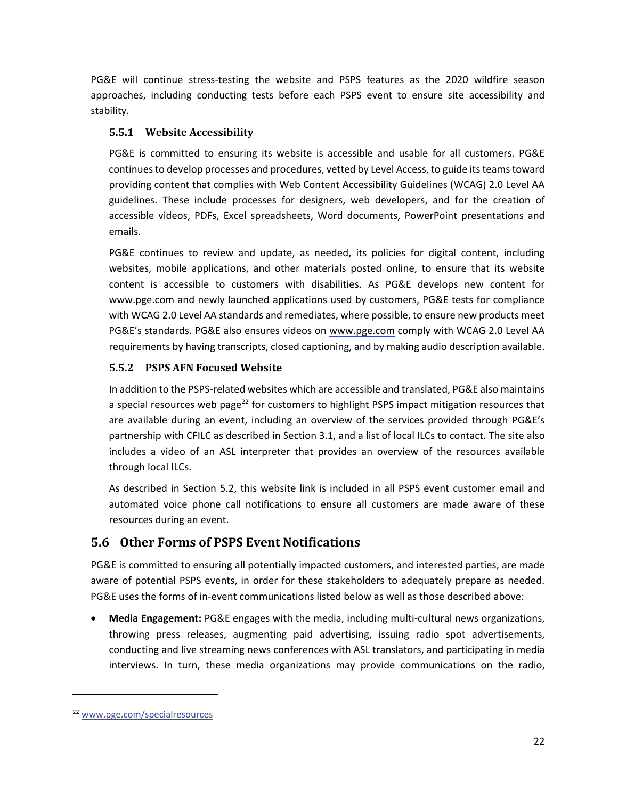PG&E will continue stress‐testing the website and PSPS features as the 2020 wildfire season approaches, including conducting tests before each PSPS event to ensure site accessibility and stability.

### **5.5.1 Website Accessibility**

PG&E is committed to ensuring its website is accessible and usable for all customers. PG&E continues to develop processes and procedures, vetted by Level Access, to guide its teams toward providing content that complies with Web Content Accessibility Guidelines (WCAG) 2.0 Level AA guidelines. These include processes for designers, web developers, and for the creation of accessible videos, PDFs, Excel spreadsheets, Word documents, PowerPoint presentations and emails.

PG&E continues to review and update, as needed, its policies for digital content, including websites, mobile applications, and other materials posted online, to ensure that its website content is accessible to customers with disabilities. As PG&E develops new content for www.pge.com and newly launched applications used by customers, PG&E tests for compliance with WCAG 2.0 Level AA standards and remediates, where possible, to ensure new products meet PG&E's standards. PG&E also ensures videos on www.pge.com comply with WCAG 2.0 Level AA requirements by having transcripts, closed captioning, and by making audio description available.

### **5.5.2 PSPS AFN Focused Website**

In addition to the PSPS‐related websites which are accessible and translated, PG&E also maintains a special resources web page<sup>22</sup> for customers to highlight PSPS impact mitigation resources that are available during an event, including an overview of the services provided through PG&E's partnership with CFILC as described in Section 3.1, and a list of local ILCs to contact. The site also includes a video of an ASL interpreter that provides an overview of the resources available through local ILCs.

As described in Section 5.2, this website link is included in all PSPS event customer email and automated voice phone call notifications to ensure all customers are made aware of these resources during an event.

### **5.6 Other Forms of PSPS Event Notifications**

PG&E is committed to ensuring all potentially impacted customers, and interested parties, are made aware of potential PSPS events, in order for these stakeholders to adequately prepare as needed. PG&E uses the forms of in‐event communications listed below as well as those described above:

 **Media Engagement:** PG&E engages with the media, including multi‐cultural news organizations, throwing press releases, augmenting paid advertising, issuing radio spot advertisements, conducting and live streaming news conferences with ASL translators, and participating in media interviews. In turn, these media organizations may provide communications on the radio,

<sup>22</sup> www.pge.com/specialresources